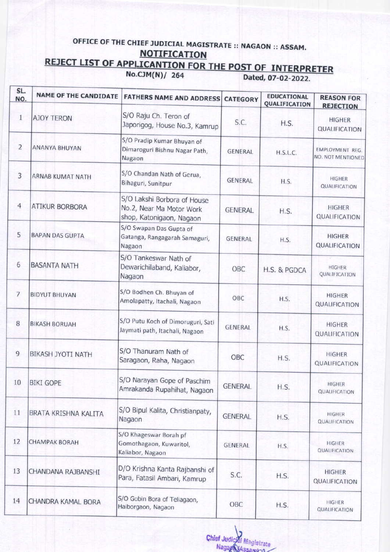## OFFICE OF THE CHIEF JUDICIAL MAGISTRATE :: NAGAON :: ASSAM. **NOTIFICATION**

## REJECT LIST OF APPLICANTION FOR THE POST OF INTERPRETER<br>No.CJM(N)/ 264 Dated, 07-02-2022.

| SL.<br>NO.     | <b>NAME OF THE CANDIDATE</b> | <b>FATHERS NAME AND ADDRESS</b>                                                     | <b>CATEGORY</b> | <b>EDUCATIONAL</b><br>QUALIFICATION | <b>REASON FOR</b><br><b>REJECTION</b> |
|----------------|------------------------------|-------------------------------------------------------------------------------------|-----------------|-------------------------------------|---------------------------------------|
| $\mathbf{1}$   | <b>AJOY TERON</b>            | S/O Raju Ch. Teron of<br>Japorigog, House No.3, Kamrup                              | S.C.            | H.S.                                | <b>HIGHER</b><br>QUALIFICATION        |
| $\overline{2}$ | ANANYA BHUYAN                | S/O Pradip Kumar Bhuyan of<br>Dimaroguri Bishnu Nagar Path,<br>Nagaon               | <b>GENERAL</b>  | <b>H.S.L.C.</b>                     | EMPLOYMENT REG.<br>NO. NOT MENTIONED  |
| 3              | ARNAB KUMAT NATH             | S/O Chandan Nath of Gerua,<br>Bihaguri, Sunitpur                                    | <b>GENERAL</b>  | H.S.                                | <b>HIGHER</b><br>QUALIFICATION        |
| $\overline{4}$ | <b>ATIKUR BORBORA</b>        | S/O Lakshi Borbora of House<br>No.2, Near Ma Motor Work<br>shop, Katonigaon, Nagaon | <b>GENERAL</b>  | H.S.                                | <b>HIGHER</b><br>QUALIFICATION        |
| 5              | <b>BAPAN DAS GUPTA</b>       | S/O Swapan Das Gupta of<br>Gatanga, Rangagarah Samaguri,<br>Nagaon                  | <b>GENERAL</b>  | H.S.                                | <b>HIGHER</b><br>QUALIFICATION        |
| 6              | <b>BASANTA NATH</b>          | S/O Tankeswar Nath of<br>Dewarichilaband, Kaliabor,<br>Nagaon                       | OBC             | H.S. & PGDCA                        | <b>HIGHER</b><br>QUALIFICATION        |
| 7              | <b>BIDYUT BHUYAN</b>         | S/O Bodhen Ch. Bhuyan of<br>Amolapatty, Itachali, Nagaon                            | OBC             | H.S.                                | <b>HIGHER</b><br>QUALIFICATION        |
| $\,$ 8 $\,$    | <b>BIKASH BORUAH</b>         | S/O Putu Koch of Dimoruguri, Sati<br>Jaymati path, Itachali, Nagaon                 | <b>GENERAL</b>  | H.S.                                | <b>HIGHER</b><br>QUALIFICATION        |
| 9              | <b>BIKASH JYOTI NATH</b>     | S/O Thanuram Nath of<br>Saragaon, Raha, Nagaon                                      | OBC             | H.S.                                | <b>HIGHER</b><br>QUALIFICATION        |
| 10             | <b>BIKI GOPE</b>             | S/O Narayan Gope of Paschim<br>Amrakanda Rupahihat, Nagaon                          | <b>GENERAL</b>  | H.S.                                | HIGHER<br>QUALIFICATION               |
| $11\,$         | BRATA KRISHNA KALITA         | S/O Bipul Kalita, Christianpaty,<br>Nagaon                                          | <b>GENERAL</b>  | H.S.                                | HIGHER<br>QUALIFICATION               |
| 12             | <b>CHAMPAK BORAH</b>         | S/O Khageswar Borah pf<br>Gomothagaon, Kuwaritol,<br>Kaliabor, Nagaon               | <b>GENERAL</b>  | H.S.                                | <b>HIGHER</b><br>QUALIFICATION        |
| 13             | CHANDANA RAJBANSHI           | D/O Krishna Kanta Rajbanshi of<br>Para, Fatasil Ambari, Kamrup                      | S.C.            | H.S.                                | <b>HIGHER</b><br>QUALIFICATION        |
| 14             | CHANDRA KAMAL BORA           | S/O Gobin Bora of Teliagaon,<br>Haiborgaon, Nagaon                                  | OBC             | H.S.                                | HIGHER<br>QUALIFICATION               |

Chief Judicial Magistrate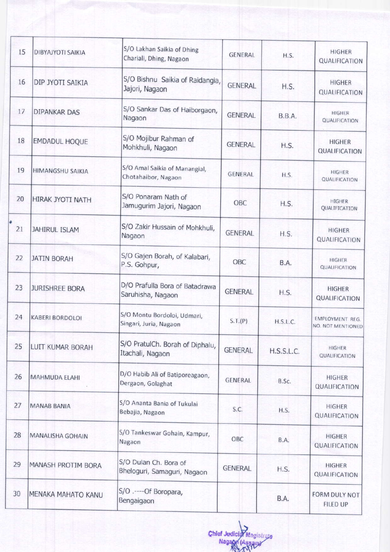| 15 | <b>DIBYAJYOTI SAIKIA</b> | S/O Lakhan Saikia of Dhing<br>Chariali, Dhing, Nagaon | <b>GENERAL</b> | H.S.          | <b>HIGHER</b><br>QUALIFICATION        |
|----|--------------------------|-------------------------------------------------------|----------------|---------------|---------------------------------------|
| 16 | DIP JYOTI SAIKIA         | S/O Bishnu Saikia of Raidangia,<br>Jajori, Nagaon     | <b>GENERAL</b> | H.S.          | <b>HIGHER</b><br><b>QUALIFICATION</b> |
| 17 | <b>DIPANKAR DAS</b>      | S/O Sankar Das of Haiborgaon,<br>Nagaon               | <b>GENERAL</b> | <b>B.B.A.</b> | <b>HIGHER</b><br>QUALIFICATION        |
| 18 | <b>EMDADUL HOQUE</b>     | S/O Mojibur Rahman of<br>Mohkhuli, Nagaon             | <b>GENERAL</b> | H.S.          | <b>HIGHER</b><br>QUALIFICATION        |
| 19 | <b>HIMANGSHU SAIKIA</b>  | S/O Amal Saikia of Manangial,<br>Chotahaibor, Nagaon  | <b>GENERAL</b> | H.S.          | <b>HIGHER</b><br><b>QUALIFICATION</b> |
| 20 | HIRAK JYOTI NATH         | S/O Ponaram Nath of<br>Jamugurim Jajori, Nagaon       | OBC            | H.S.          | <b>HIGHER</b><br>QUALIFICATION        |
| 21 | <b>JAHIRUL ISLAM</b>     | S/O Zakir Hussain of Mohkhuli,<br>Nagaon              | <b>GENERAL</b> | H.S.          | <b>HIGHER</b><br>QUALIFICATION        |
| 22 | <b>JATIN BORAH</b>       | S/O Gajen Borah, of Kalabari,<br>P.S. Gohpur,         | <b>OBC</b>     | B.A.          | <b>HIGHER</b><br><b>QUALIFICATION</b> |
| 23 | <b>JURISHREE BORA</b>    | D/O Prafulla Bora of Batadrawa<br>Saruhisha, Nagaon   | <b>GENERAL</b> | H.S.          | <b>HIGHER</b><br>QUALIFICATION        |
| 24 | <b>KABERI BORDOLOI</b>   | S/O Montu Bordoloi, Udmari,<br>Singari, Juria, Nagaon | S.T.(P)        | H.S.L.C.      | EMPLOYMENT REG.<br>NO. NOT MENTIONED  |
| 25 | LUIT KUMAR BORAH         | S/O PratulCh. Borah of Diphalu,<br>Itachali, Nagaon   | <b>GENERAL</b> | H.S.S.L.C.    | <b>HIGHER</b><br><b>QUALIFICATION</b> |
| 26 | <b>MAHMUDA ELAHI</b>     | D/O Habib Ali of Batiporeagaon,<br>Dergaon, Golaghat  | <b>GENERAL</b> | B.Sc.         | <b>HIGHER</b><br>QUALIFICATION        |
| 27 | <b>MANAB BANIA</b>       | S/O Ananta Bania of Tukulai<br>Bebajia, Nagaon        | S.C.           | H.S.          | <b>HIGHER</b><br>QUALIFICATION        |
| 28 | <b>MANALISHA GOHAIN</b>  | S/O Tankeswar Gohain, Kampur,<br>Nagaon               | OBC            | B.A.          | <b>HIGHER</b><br>QUALIFICATION        |
| 29 | MANASH PROTIM BORA       | S/O Dulan Ch. Bora of<br>Bheloguri, Samaguri, Nagaon  | <b>GENERAL</b> | H.S.          | <b>HIGHER</b><br>QUALIFICATION        |
| 30 | MENAKA MAHATO KANU       | S/O .---- Of Boropara,<br>Bengaigaon                  |                | <b>B.A.</b>   | FORM DULY NOT<br>FILED UP             |

Chief Judicial Magistrate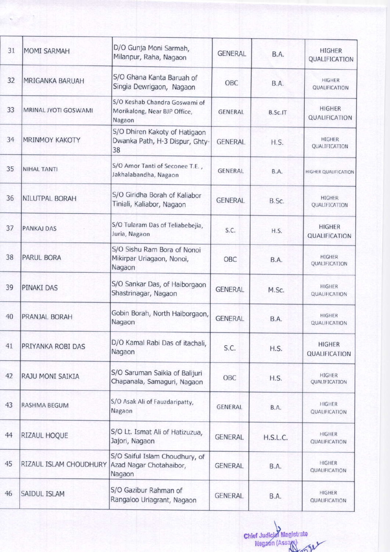| 31 | <b>MOMI SARMAH</b>          | D/O Gunja Moni Sarmah,<br>Milanpur, Raha, Nagaon                        | <b>GENERAL</b> | <b>B.A.</b> | <b>HIGHER</b><br>QUALIFICATION        |
|----|-----------------------------|-------------------------------------------------------------------------|----------------|-------------|---------------------------------------|
| 32 | MRIGANKA BARUAH             | S/O Ghana Kanta Baruah of<br>Singia Dewrigaon, Nagaon                   | OBC            | B.A.        | HIGHER<br><b>QUALIFICATION</b>        |
| 33 | <b>MRINAL JYOTI GOSWAMI</b> | S/O Keshab Chandra Goswami of<br>Morikalong, Near BJP Office,<br>Nagaon | <b>GENERAL</b> | B.Sc.IT     | <b>HIGHER</b><br>QUALIFICATION        |
| 34 | <b>MRINMOY KAKOTY</b>       | S/O Dhiren Kakoty of Hatigaon<br>Dwanka Path, H-3 Dispur, Ghty-<br>38   | <b>GENERAL</b> | H.S.        | <b>HIGHER</b><br>QUALIFICATION        |
| 35 | <b>NIHAL TANTI</b>          | S/O Amor Tanti of Seconee T.E.,<br>Jakhalabandha, Nagaon                | <b>GENERAL</b> | B.A.        | <b>HIGHER QUALIFICATION</b>           |
| 36 | NILUTPAL BORAH              | S/O Giridha Borah of Kaliabor<br>Tiniali, Kaliabor, Nagaon              | <b>GENERAL</b> | B.Sc.       | <b>HIGHER</b><br>QUALIFICATION        |
| 37 | <b>PANKAJ DAS</b>           | S/O Tularam Das of Teliabebejia,<br>Juria, Nagaon                       | S.C.           | H.S.        | <b>HIGHER</b><br><b>QUALIFICATION</b> |
| 38 | <b>PARUL BORA</b>           | S/O Sishu Ram Bora of Nonoi<br>Mikirpar Uriagaon, Nonoi,<br>Nagaon      | OBC            | <b>B.A.</b> | <b>HIGHER</b><br>QUALIFICATION        |
| 39 | <b>PINAKI DAS</b>           | S/O Sankar Das, of Haiborgaon<br>Shastrinagar, Nagaon                   | <b>GENERAL</b> | M.Sc.       | <b>HIGHER</b><br>QUALIFICATION        |
| 40 | PRANJAL BORAH               | Gobin Borah, North Haiborgaon,<br>Nagaon                                | <b>GENERAL</b> | B.A.        | <b>HIGHER</b><br><b>QUALIFICATION</b> |
| 41 | PRIYANKA ROBI DAS           | D/O Kamal Rabi Das of itachali,<br>Nagaon                               | S.C.           | H.S.        | <b>HIGHER</b><br>QUALIFICATION        |
| 42 | RAJU MONI SAIKIA            | S/O Saruman Saikia of Balijuri<br>Chapanala, Samaguri, Nagaon           | OBC            | H.S.        | <b>HIGHER</b><br>QUALIFICATION        |
| 43 | <b>RASHMA BEGUM</b>         | S/O Asak Ali of Fauzdaripatty,<br>Nagaon                                | <b>GENERAL</b> | B.A.        | <b>HIGHER</b><br>QUALIFICATION        |
| 44 | RIZAUL HOQUE                | S/O Lt. Ismat Ali of Hatizuzua,<br>Jajori, Nagaon                       | <b>GENERAL</b> | H.S.L.C.    | <b>HIGHER</b><br>QUALIFICATION        |
| 45 | RIZAUL ISLAM CHOUDHURY      | S/O Saiful Islam Choudhury, of<br>Azad Nagar Chotahaibor,<br>Nagaon     | <b>GENERAL</b> | <b>B.A.</b> | <b>HIGHER</b><br>QUALIFICATION        |
| 46 | <b>SAIDUL ISLAM</b>         | S/O Gazibur Rahman of<br>Rangaloo Uriagrant, Nagaon                     | <b>GENERAL</b> | B.A.        | <b>HIGHER</b><br>QUALIFICATION        |

Chief Judicial Magistrate